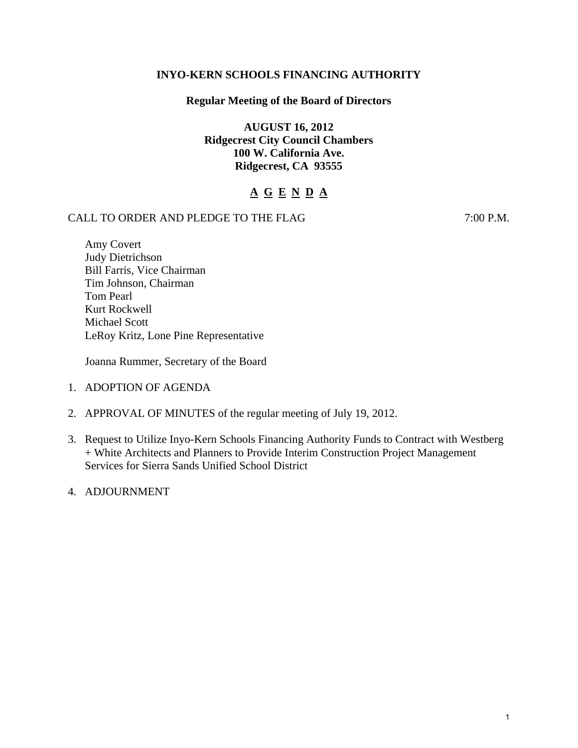## **INYO-KERN SCHOOLS FINANCING AUTHORITY**

## **Regular Meeting of the Board of Directors**

**AUGUST 16, 2012 Ridgecrest City Council Chambers 100 W. California Ave. Ridgecrest, CA 93555** 

# **A G E N D A**

## CALL TO ORDER AND PLEDGE TO THE FLAG 7:00 P.M.

Amy Covert Judy Dietrichson Bill Farris, Vice Chairman Tim Johnson, Chairman Tom Pearl Kurt Rockwell Michael Scott LeRoy Kritz, Lone Pine Representative

Joanna Rummer, Secretary of the Board

- 1. ADOPTION OF AGENDA
- 2. APPROVAL OF MINUTES of the regular meeting of July 19, 2012.
- 3. Request to Utilize Inyo-Kern Schools Financing Authority Funds to Contract with Westberg + White Architects and Planners to Provide Interim Construction Project Management Services for Sierra Sands Unified School District
- 4. ADJOURNMENT